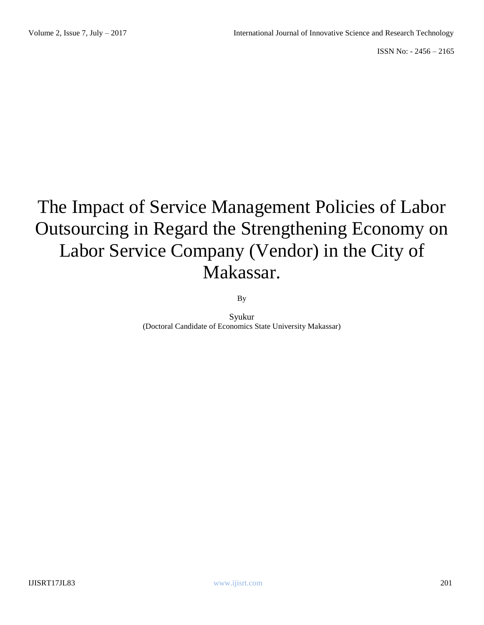# The Impact of Service Management Policies of Labor Outsourcing in Regard the Strengthening Economy on Labor Service Company (Vendor) in the City of Makassar.

By

Syukur (Doctoral Candidate of Economics State University Makassar)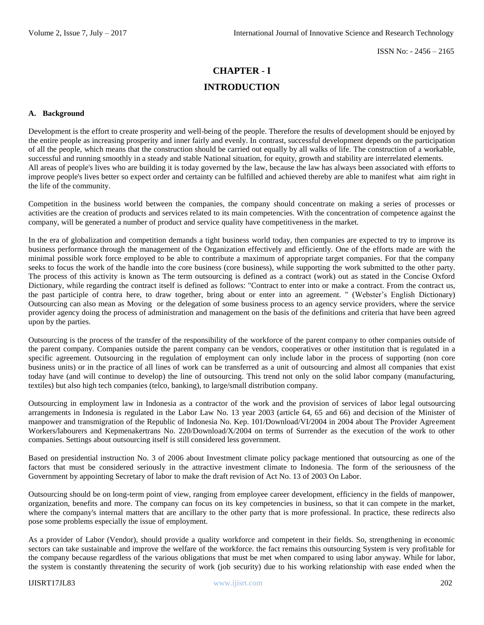## **CHAPTER - I INTRODUCTION**

#### **A. Background**

Development is the effort to create prosperity and well-being of the people. Therefore the results of development should be enjoyed by the entire people as increasing prosperity and inner fairly and evenly. In contrast, successful development depends on the participation of all the people, which means that the construction should be carried out equally by all walks of life. The construction of a workable, successful and running smoothly in a steady and stable National situation, for equity, growth and stability are interrelated elements. All areas of people's lives who are building it is today governed by the law, because the law has always been associated with efforts to improve people's lives better so expect order and certainty can be fulfilled and achieved thereby are able to manifest what aim right in the life of the community.

Competition in the business world between the companies, the company should concentrate on making a series of processes or activities are the creation of products and services related to its main competencies. With the concentration of competence against the company, will be generated a number of product and service quality have competitiveness in the market.

In the era of globalization and competition demands a tight business world today, then companies are expected to try to improve its business performance through the management of the Organization effectively and efficiently. One of the efforts made are with the minimal possible work force employed to be able to contribute a maximum of appropriate target companies. For that the company seeks to focus the work of the handle into the core business (core business), while supporting the work submitted to the other party. The process of this activity is known as The term outsourcing is defined as a contract (work) out as stated in the Concise Oxford Dictionary, while regarding the contract itself is defined as follows: "Contract to enter into or make a contract. From the contract us, the past participle of contra here, to draw together, bring about or enter into an agreement. " (Webster's English Dictionary) Outsourcing can also mean as Moving or the delegation of some business process to an agency service providers, where the service provider agency doing the process of administration and management on the basis of the definitions and criteria that have been agreed upon by the parties.

Outsourcing is the process of the transfer of the responsibility of the workforce of the parent company to other companies outside of the parent company. Companies outside the parent company can be vendors, cooperatives or other institution that is regulated in a specific agreement. Outsourcing in the regulation of employment can only include labor in the process of supporting (non core business units) or in the practice of all lines of work can be transferred as a unit of outsourcing and almost all companies that exist today have (and will continue to develop) the line of outsourcing. This trend not only on the solid labor company (manufacturing, textiles) but also high tech companies (telco, banking), to large/small distribution company.

Outsourcing in employment law in Indonesia as a contractor of the work and the provision of services of labor legal outsourcing arrangements in Indonesia is regulated in the Labor Law No. 13 year 2003 (article 64, 65 and 66) and decision of the Minister of manpower and transmigration of the Republic of Indonesia No. Kep. 101/Download/VI/2004 in 2004 about The Provider Agreement Workers/labourers and Kepmenakertrans No. 220/Download/X/2004 on terms of Surrender as the execution of the work to other companies. Settings about outsourcing itself is still considered less government.

Based on presidential instruction No. 3 of 2006 about Investment climate policy package mentioned that outsourcing as one of the factors that must be considered seriously in the attractive investment climate to Indonesia. The form of the seriousness of the Government by appointing Secretary of labor to make the draft revision of Act No. 13 of 2003 On Labor.

Outsourcing should be on long-term point of view, ranging from employee career development, efficiency in the fields of manpower, organization, benefits and more. The company can focus on its key competencies in business, so that it can compete in the market, where the company's internal matters that are ancillary to the other party that is more professional. In practice, these redirects also pose some problems especially the issue of employment.

As a provider of Labor (Vendor), should provide a quality workforce and competent in their fields. So, strengthening in economic sectors can take sustainable and improve the welfare of the workforce. the fact remains this outsourcing System is very profitable for the company because regardless of the various obligations that must be met when compared to using labor anyway. While for labor, the system is constantly threatening the security of work (job security) due to his working relationship with ease ended when the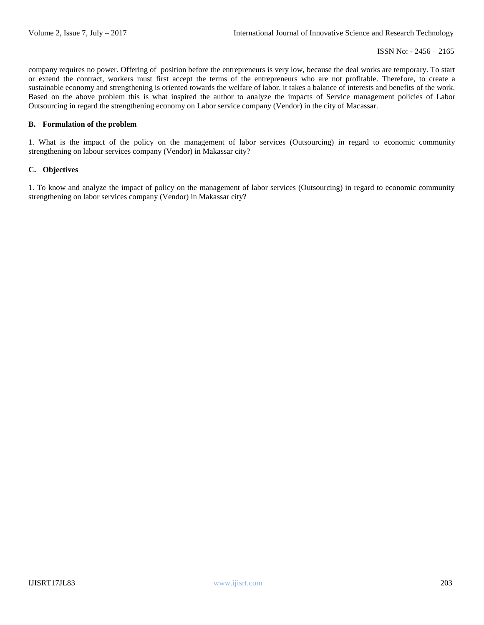company requires no power. Offering of position before the entrepreneurs is very low, because the deal works are temporary. To start or extend the contract, workers must first accept the terms of the entrepreneurs who are not profitable. Therefore, to create a sustainable economy and strengthening is oriented towards the welfare of labor. it takes a balance of interests and benefits of the work. Based on the above problem this is what inspired the author to analyze the impacts of Service management policies of Labor Outsourcing in regard the strengthening economy on Labor service company (Vendor) in the city of Macassar.

#### **B. Formulation of the problem**

1. What is the impact of the policy on the management of labor services (Outsourcing) in regard to economic community strengthening on labour services company (Vendor) in Makassar city?

#### **C. Objectives**

1. To know and analyze the impact of policy on the management of labor services (Outsourcing) in regard to economic community strengthening on labor services company (Vendor) in Makassar city?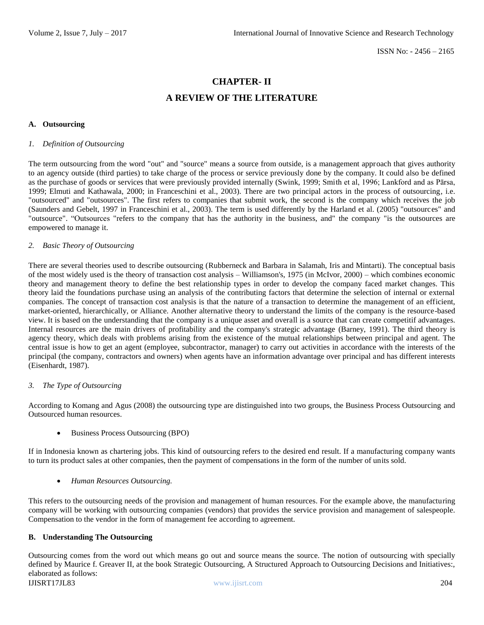### **CHAPTER- II**

## **A REVIEW OF THE LITERATURE**

#### **A. Outsourcing**

#### *1. Definition of Outsourcing*

The term outsourcing from the word "out" and "source" means a source from outside, is a management approach that gives authority to an agency outside (third parties) to take charge of the process or service previously done by the company. It could also be defined as the purchase of goods or services that were previously provided internally (Swink, 1999; Smith et al, 1996; Lankford and as Pārsa, 1999; Elmuti and Kathawala, 2000; in Franceschini et al., 2003). There are two principal actors in the process of outsourcing, i.e. "outsourced" and "outsources". The first refers to companies that submit work, the second is the company which receives the job (Saunders and Gebelt, 1997 in Franceschini et al., 2003). The term is used differently by the Harland et al. (2005) "outsources" and "outsource". "Outsources "refers to the company that has the authority in the business, and" the company "is the outsources are empowered to manage it.

#### *2. Basic Theory of Outsourcing*

There are several theories used to describe outsourcing (Rubberneck and Barbara in Salamah, Iris and Mintarti). The conceptual basis of the most widely used is the theory of transaction cost analysis – Williamson's, 1975 (in McIvor, 2000) – which combines economic theory and management theory to define the best relationship types in order to develop the company faced market changes. This theory laid the foundations purchase using an analysis of the contributing factors that determine the selection of internal or external companies. The concept of transaction cost analysis is that the nature of a transaction to determine the management of an efficient, market-oriented, hierarchically, or Alliance. Another alternative theory to understand the limits of the company is the resource-based view. It is based on the understanding that the company is a unique asset and overall is a source that can create competitif advantages. Internal resources are the main drivers of profitability and the company's strategic advantage (Barney, 1991). The third theory is agency theory, which deals with problems arising from the existence of the mutual relationships between principal and agent. The central issue is how to get an agent (employee, subcontractor, manager) to carry out activities in accordance with the interests of the principal (the company, contractors and owners) when agents have an information advantage over principal and has different interests (Eisenhardt, 1987).

#### *3. The Type of Outsourcing*

According to Komang and Agus (2008) the outsourcing type are distinguished into two groups, the Business Process Outsourcing and Outsourced human resources.

Business Process Outsourcing (BPO)

If in Indonesia known as chartering jobs. This kind of outsourcing refers to the desired end result. If a manufacturing company wants to turn its product sales at other companies, then the payment of compensations in the form of the number of units sold.

*Human Resources Outsourcing.*

This refers to the outsourcing needs of the provision and management of human resources. For the example above, the manufacturing company will be working with outsourcing companies (vendors) that provides the service provision and management of salespeople. Compensation to the vendor in the form of management fee according to agreement.

#### **B. Understanding The Outsourcing**

IJISRT17JL83 www.ijisrt.com 204 Outsourcing comes from the word out which means go out and source means the source. The notion of outsourcing with specially defined by Maurice f. Greaver II, at the book Strategic Outsourcing, A Structured Approach to Outsourcing Decisions and Initiatives:, elaborated as follows: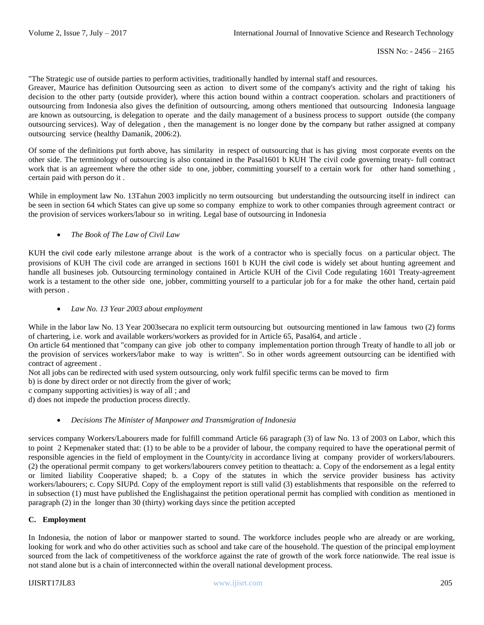"The Strategic use of outside parties to perform activities, traditionally handled by internal staff and resources.

Greaver, Maurice has definition Outsourcing seen as action to divert some of the company's activity and the right of taking his decision to the other party (outside provider), where this action bound within a contract cooperation. scholars and practitioners of outsourcing from Indonesia also gives the definition of outsourcing, among others mentioned that outsourcing Indonesia language are known as outsourcing, is delegation to operate and the daily management of a business process to support outside (the company outsourcing services). Way of delegation , then the management is no longer done by the company but rather assigned at company outsourcing service (healthy Damanik, 2006:2).

Of some of the definitions put forth above, has similarity in respect of outsourcing that is has giving most corporate events on the other side. The terminology of outsourcing is also contained in the Pasal1601 b KUH The civil code governing treaty- full contract work that is an agreement where the other side to one, jobber, committing yourself to a certain work for other hand something, certain paid with person do it .

While in employment law No. 13Tahun 2003 implicitly no term outsourcing but understanding the outsourcing itself in indirect can be seen in section 64 which States can give up some so company emphize to work to other companies through agreement contract or the provision of services workers/labour so in writing. Legal base of outsourcing in Indonesia

#### *The Book of The Law of Civil Law*

KUH the civil code early milestone arrange about is the work of a contractor who is specially focus on a particular object. The provisions of KUH The civil code are arranged in sections 1601 b KUH the civil code is widely set about hunting agreement and handle all busineses job. Outsourcing terminology contained in Article KUH of the Civil Code regulating 1601 Treaty-agreement work is a testament to the other side one, jobber, committing yourself to a particular job for a for make the other hand, certain paid with person .

#### *Law No. 13 Year 2003 about employment*

While in the labor law No. 13 Year 2003 secara no explicit term outsourcing but outsourcing mentioned in law famous two (2) forms of chartering, i.e. work and available workers/workers as provided for in Article 65, Pasal64, and article .

On article 64 mentioned that "company can give job other to company implementation portion through Treaty of handle to all job or the provision of services workers/labor make to way is written". So in other words agreement outsourcing can be identified with contract of agreement .

Not all jobs can be redirected with used system outsourcing, only work fulfil specific terms can be moved to firm

b) is done by direct order or not directly from the giver of work;

c company supporting activities) is way of all ; and

d) does not impede the production process directly.

#### *Decisions The Minister of Manpower and Transmigration of Indonesia*

services company Workers/Labourers made for fulfill command Article 66 paragraph (3) of law No. 13 of 2003 on Labor, which this to point 2 Kepmenaker stated that: (1) to be able to be a provider of labour, the company required to have the operational permit of responsible agencies in the field of employment in the County/city in accordance living at company provider of workers/labourers. (2) the operational permit company to get workers/labourers convey petition to theattach: a. Copy of the endorsement as a legal entity or limited liability Cooperative shaped; b. a Copy of the statutes in which the service provider business has activity workers/labourers; c. Copy SIUPd. Copy of the employment report is still valid (3) establishments that responsible on the referred to in subsection (1) must have published the Englishagainst the petition operational permit has complied with condition as mentioned in paragraph (2) in the longer than 30 (thirty) working days since the petition accepted

#### **C. Employment**

In Indonesia, the notion of labor or manpower started to sound. The workforce includes people who are already or are working, looking for work and who do other activities such as school and take care of the household. The question of the principal employment sourced from the lack of competitiveness of the workforce against the rate of growth of the work force nationwide. The real issue is not stand alone but is a chain of interconnected within the overall national development process.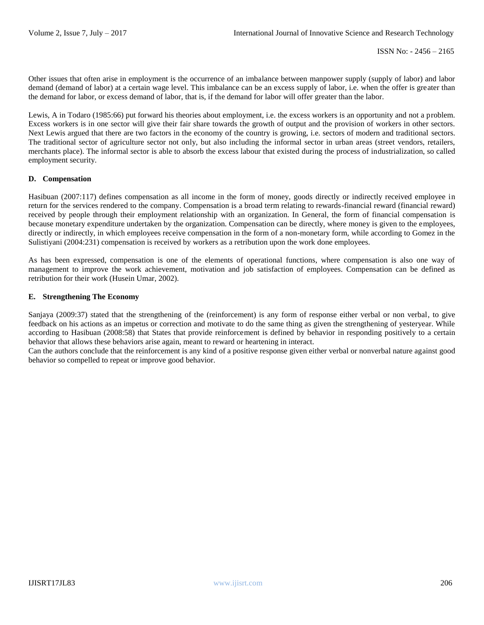Other issues that often arise in employment is the occurrence of an imbalance between manpower supply (supply of labor) and labor demand (demand of labor) at a certain wage level. This imbalance can be an excess supply of labor, i.e. when the offer is greater than the demand for labor, or excess demand of labor, that is, if the demand for labor will offer greater than the labor.

Lewis, A in Todaro (1985:66) put forward his theories about employment, i.e. the excess workers is an opportunity and not a problem. Excess workers is in one sector will give their fair share towards the growth of output and the provision of workers in other sectors. Next Lewis argued that there are two factors in the economy of the country is growing, i.e. sectors of modern and traditional sectors. The traditional sector of agriculture sector not only, but also including the informal sector in urban areas (street vendors, retailers, merchants place). The informal sector is able to absorb the excess labour that existed during the process of industrialization, so called employment security.

#### **D. Compensation**

Hasibuan (2007:117) defines compensation as all income in the form of money, goods directly or indirectly received employee in return for the services rendered to the company. Compensation is a broad term relating to rewards-financial reward (financial reward) received by people through their employment relationship with an organization. In General, the form of financial compensation is because monetary expenditure undertaken by the organization. Compensation can be directly, where money is given to the employees, directly or indirectly, in which employees receive compensation in the form of a non-monetary form, while according to Gomez in the Sulistiyani (2004:231) compensation is received by workers as a retribution upon the work done employees.

As has been expressed, compensation is one of the elements of operational functions, where compensation is also one way of management to improve the work achievement, motivation and job satisfaction of employees. Compensation can be defined as retribution for their work (Husein Umar, 2002).

#### **E. Strengthening The Economy**

Sanjaya (2009:37) stated that the strengthening of the (reinforcement) is any form of response either verbal or non verbal, to give feedback on his actions as an impetus or correction and motivate to do the same thing as given the strengthening of yesteryear. While according to Hasibuan (2008:58) that States that provide reinforcement is defined by behavior in responding positively to a certain behavior that allows these behaviors arise again, meant to reward or heartening in interact.

Can the authors conclude that the reinforcement is any kind of a positive response given either verbal or nonverbal nature against good behavior so compelled to repeat or improve good behavior.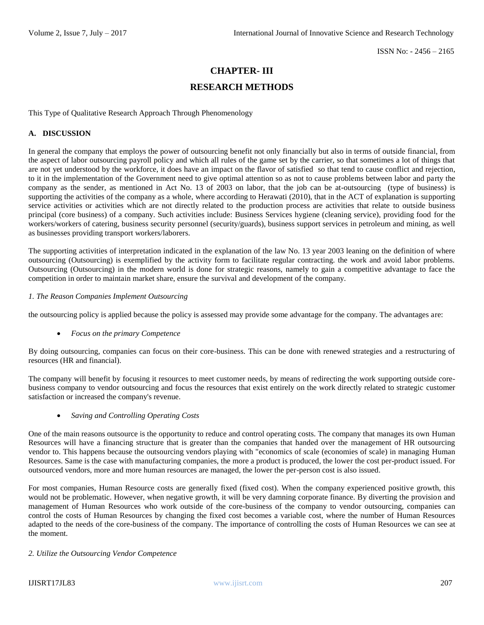## **CHAPTER- III**

## **RESEARCH METHODS**

This Type of Qualitative Research Approach Through Phenomenology

#### **A. DISCUSSION**

In general the company that employs the power of outsourcing benefit not only financially but also in terms of outside financial, from the aspect of labor outsourcing payroll policy and which all rules of the game set by the carrier, so that sometimes a lot of things that are not yet understood by the workforce, it does have an impact on the flavor of satisfied so that tend to cause conflict and rejection, to it in the implementation of the Government need to give optimal attention so as not to cause problems between labor and party the company as the sender, as mentioned in Act No. 13 of 2003 on labor, that the job can be at-outsourcing (type of business) is supporting the activities of the company as a whole, where according to Herawati (2010), that in the ACT of explanation is supporting service activities or activities which are not directly related to the production process are activities that relate to outside business principal (core business) of a company. Such activities include: Business Services hygiene (cleaning service), providing food for the workers/workers of catering, business security personnel (security/guards), business support services in petroleum and mining, as well as businesses providing transport workers/laborers.

The supporting activities of interpretation indicated in the explanation of the law No. 13 year 2003 leaning on the definition of where outsourcing (Outsourcing) is exemplified by the activity form to facilitate regular contracting. the work and avoid labor problems. Outsourcing (Outsourcing) in the modern world is done for strategic reasons, namely to gain a competitive advantage to face the competition in order to maintain market share, ensure the survival and development of the company.

#### *1. The Reason Companies Implement Outsourcing*

the outsourcing policy is applied because the policy is assessed may provide some advantage for the company. The advantages are:

*Focus on the primary Competence*

By doing outsourcing, companies can focus on their core-business. This can be done with renewed strategies and a restructuring of resources (HR and financial).

The company will benefit by focusing it resources to meet customer needs, by means of redirecting the work supporting outside corebusiness company to vendor outsourcing and focus the resources that exist entirely on the work directly related to strategic customer satisfaction or increased the company's revenue.

*Saving and Controlling Operating Costs*

One of the main reasons outsource is the opportunity to reduce and control operating costs. The company that manages its own Human Resources will have a financing structure that is greater than the companies that handed over the management of HR outsourcing vendor to. This happens because the outsourcing vendors playing with "economics of scale (economies of scale) in managing Human Resources. Same is the case with manufacturing companies, the more a product is produced, the lower the cost per-product issued. For outsourced vendors, more and more human resources are managed, the lower the per-person cost is also issued.

For most companies, Human Resource costs are generally fixed (fixed cost). When the company experienced positive growth, this would not be problematic. However, when negative growth, it will be very damning corporate finance. By diverting the provision and management of Human Resources who work outside of the core-business of the company to vendor outsourcing, companies can control the costs of Human Resources by changing the fixed cost becomes a variable cost, where the number of Human Resources adapted to the needs of the core-business of the company. The importance of controlling the costs of Human Resources we can see at the moment.

#### *2. Utilize the Outsourcing Vendor Competence*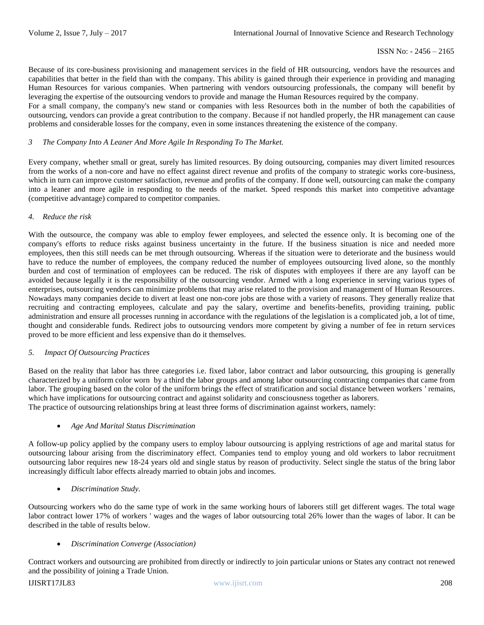Because of its core-business provisioning and management services in the field of HR outsourcing, vendors have the resources and capabilities that better in the field than with the company. This ability is gained through their experience in providing and managing Human Resources for various companies. When partnering with vendors outsourcing professionals, the company will benefit by leveraging the expertise of the outsourcing vendors to provide and manage the Human Resources required by the company.

For a small company, the company's new stand or companies with less Resources both in the number of both the capabilities of outsourcing, vendors can provide a great contribution to the company. Because if not handled properly, the HR management can cause problems and considerable losses for the company, even in some instances threatening the existence of the company.

#### *3 The Company Into A Leaner And More Agile In Responding To The Market.*

Every company, whether small or great, surely has limited resources. By doing outsourcing, companies may divert limited resources from the works of a non-core and have no effect against direct revenue and profits of the company to strategic works core-business, which in turn can improve customer satisfaction, revenue and profits of the company. If done well, outsourcing can make the company into a leaner and more agile in responding to the needs of the market. Speed responds this market into competitive advantage (competitive advantage) compared to competitor companies.

#### *4. Reduce the risk*

With the outsource, the company was able to employ fewer employees, and selected the essence only. It is becoming one of the company's efforts to reduce risks against business uncertainty in the future. If the business situation is nice and needed more employees, then this still needs can be met through outsourcing. Whereas if the situation were to deteriorate and the business would have to reduce the number of employees, the company reduced the number of employees outsourcing lived alone, so the monthly burden and cost of termination of employees can be reduced. The risk of disputes with employees if there are any layoff can be avoided because legally it is the responsibility of the outsourcing vendor. Armed with a long experience in serving various types of enterprises, outsourcing vendors can minimize problems that may arise related to the provision and management of Human Resources. Nowadays many companies decide to divert at least one non-core jobs are those with a variety of reasons. They generally realize that recruiting and contracting employees, calculate and pay the salary, overtime and benefits-benefits, providing training, public administration and ensure all processes running in accordance with the regulations of the legislation is a complicated job, a lot of time, thought and considerable funds. Redirect jobs to outsourcing vendors more competent by giving a number of fee in return services proved to be more efficient and less expensive than do it themselves.

#### *5. Impact Of Outsourcing Practices*

Based on the reality that labor has three categories i.e. fixed labor, labor contract and labor outsourcing, this grouping is generally characterized by a uniform color worn by a third the labor groups and among labor outsourcing contracting companies that came from labor. The grouping based on the color of the uniform brings the effect of stratification and social distance between workers ' remains, which have implications for outsourcing contract and against solidarity and consciousness together as laborers. The practice of outsourcing relationships bring at least three forms of discrimination against workers, namely:

#### *Age And Marital Status Discrimination*

A follow-up policy applied by the company users to employ labour outsourcing is applying restrictions of age and marital status for outsourcing labour arising from the discriminatory effect. Companies tend to employ young and old workers to labor recruitment outsourcing labor requires new 18-24 years old and single status by reason of productivity. Select single the status of the bring labor increasingly difficult labor effects already married to obtain jobs and incomes.

*Discrimination Study.*

Outsourcing workers who do the same type of work in the same working hours of laborers still get different wages. The total wage labor contract lower 17% of workers ' wages and the wages of labor outsourcing total 26% lower than the wages of labor. It can be described in the table of results below.

#### *Discrimination Converge (Association)*

Contract workers and outsourcing are prohibited from directly or indirectly to join particular unions or States any contract not renewed and the possibility of joining a Trade Union.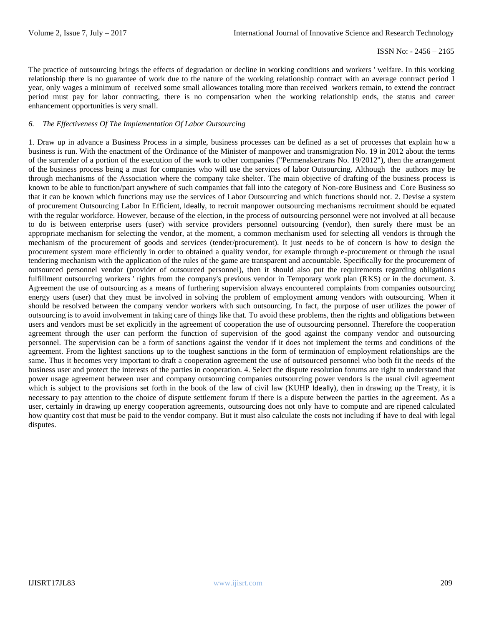The practice of outsourcing brings the effects of degradation or decline in working conditions and workers ' welfare. In this working relationship there is no guarantee of work due to the nature of the working relationship contract with an average contract period 1 year, only wages a minimum of received some small allowances totaling more than received workers remain, to extend the contract period must pay for labor contracting, there is no compensation when the working relationship ends, the status and career enhancement opportunities is very small.

#### *6. The Effectiveness Of The Implementation Of Labor Outsourcing*

1. Draw up in advance a Business Process in a simple, business processes can be defined as a set of processes that explain how a business is run. With the enactment of the Ordinance of the Minister of manpower and transmigration No. 19 in 2012 about the terms of the surrender of a portion of the execution of the work to other companies ("Permenakertrans No. 19/2012"), then the arrangement of the business process being a must for companies who will use the services of labor Outsourcing. Although the authors may be through mechanisms of the Association where the company take shelter. The main objective of drafting of the business process is known to be able to function/part anywhere of such companies that fall into the category of Non-core Business and Core Business so that it can be known which functions may use the services of Labor Outsourcing and which functions should not. 2. Devise a system of procurement Outsourcing Labor In Efficient, Ideally, to recruit manpower outsourcing mechanisms recruitment should be equated with the regular workforce. However, because of the election, in the process of outsourcing personnel were not involved at all because to do is between enterprise users (user) with service providers personnel outsourcing (vendor), then surely there must be an appropriate mechanism for selecting the vendor, at the moment, a common mechanism used for selecting all vendors is through the mechanism of the procurement of goods and services (tender/procurement). It just needs to be of concern is how to design the procurement system more efficiently in order to obtained a quality vendor, for example through e-procurement or through the usual tendering mechanism with the application of the rules of the game are transparent and accountable. Specifically for the procurement of outsourced personnel vendor (provider of outsourced personnel), then it should also put the requirements regarding obligations fulfillment outsourcing workers ' rights from the company's previous vendor in Temporary work plan (RKS) or in the document. 3. Agreement the use of outsourcing as a means of furthering supervision always encountered complaints from companies outsourcing energy users (user) that they must be involved in solving the problem of employment among vendors with outsourcing. When it should be resolved between the company vendor workers with such outsourcing. In fact, the purpose of user utilizes the power of outsourcing is to avoid involvement in taking care of things like that. To avoid these problems, then the rights and obligations between users and vendors must be set explicitly in the agreement of cooperation the use of outsourcing personnel. Therefore the cooperation agreement through the user can perform the function of supervision of the good against the company vendor and outsourcing personnel. The supervision can be a form of sanctions against the vendor if it does not implement the terms and conditions of the agreement. From the lightest sanctions up to the toughest sanctions in the form of termination of employment relationships are the same. Thus it becomes very important to draft a cooperation agreement the use of outsourced personnel who both fit the needs of the business user and protect the interests of the parties in cooperation. 4. Select the dispute resolution forums are right to understand that power usage agreement between user and company outsourcing companies outsourcing power vendors is the usual civil agreement which is subject to the provisions set forth in the book of the law of civil law (KUHP Ideally), then in drawing up the Treaty, it is necessary to pay attention to the choice of dispute settlement forum if there is a dispute between the parties in the agreement. As a user, certainly in drawing up energy cooperation agreements, outsourcing does not only have to compute and are ripened calculated how quantity cost that must be paid to the vendor company. But it must also calculate the costs not including if have to deal with legal disputes.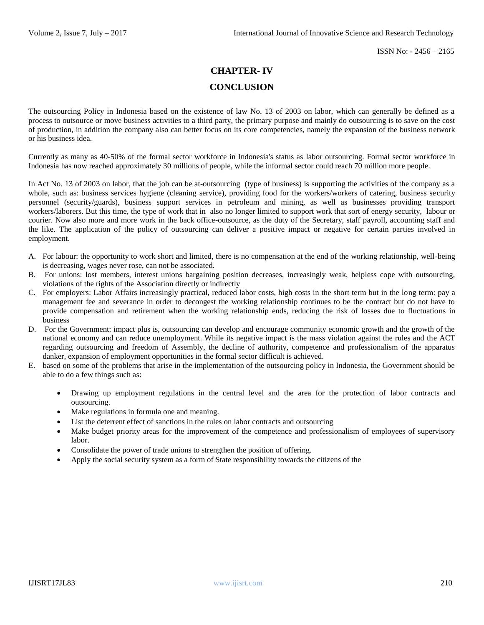## **CHAPTER- IV**

## **CONCLUSION**

The outsourcing Policy in Indonesia based on the existence of law No. 13 of 2003 on labor, which can generally be defined as a process to outsource or move business activities to a third party, the primary purpose and mainly do outsourcing is to save on the cost of production, in addition the company also can better focus on its core competencies, namely the expansion of the business network or his business idea.

Currently as many as 40-50% of the formal sector workforce in Indonesia's status as labor outsourcing. Formal sector workforce in Indonesia has now reached approximately 30 millions of people, while the informal sector could reach 70 million more people.

In Act No. 13 of 2003 on labor, that the job can be at-outsourcing (type of business) is supporting the activities of the company as a whole, such as: business services hygiene (cleaning service), providing food for the workers/workers of catering, business security personnel (security/guards), business support services in petroleum and mining, as well as businesses providing transport workers/laborers. But this time, the type of work that in also no longer limited to support work that sort of energy security, labour or courier. Now also more and more work in the back office-outsource, as the duty of the Secretary, staff payroll, accounting staff and the like. The application of the policy of outsourcing can deliver a positive impact or negative for certain parties involved in employment.

- A. For labour: the opportunity to work short and limited, there is no compensation at the end of the working relationship, well-being is decreasing, wages never rose, can not be associated.
- B. For unions: lost members, interest unions bargaining position decreases, increasingly weak, helpless cope with outsourcing, violations of the rights of the Association directly or indirectly
- C. For employers: Labor Affairs increasingly practical, reduced labor costs, high costs in the short term but in the long term: pay a management fee and severance in order to decongest the working relationship continues to be the contract but do not have to provide compensation and retirement when the working relationship ends, reducing the risk of losses due to fluctuations in business
- D. For the Government: impact plus is, outsourcing can develop and encourage community economic growth and the growth of the national economy and can reduce unemployment. While its negative impact is the mass violation against the rules and the ACT regarding outsourcing and freedom of Assembly, the decline of authority, competence and professionalism of the apparatus danker, expansion of employment opportunities in the formal sector difficult is achieved.
- E. based on some of the problems that arise in the implementation of the outsourcing policy in Indonesia, the Government should be able to do a few things such as:
	- Drawing up employment regulations in the central level and the area for the protection of labor contracts and outsourcing.
	- Make regulations in formula one and meaning.
	- List the deterrent effect of sanctions in the rules on labor contracts and outsourcing
	- Make budget priority areas for the improvement of the competence and professionalism of employees of supervisory labor.
	- Consolidate the power of trade unions to strengthen the position of offering.
	- Apply the social security system as a form of State responsibility towards the citizens of the